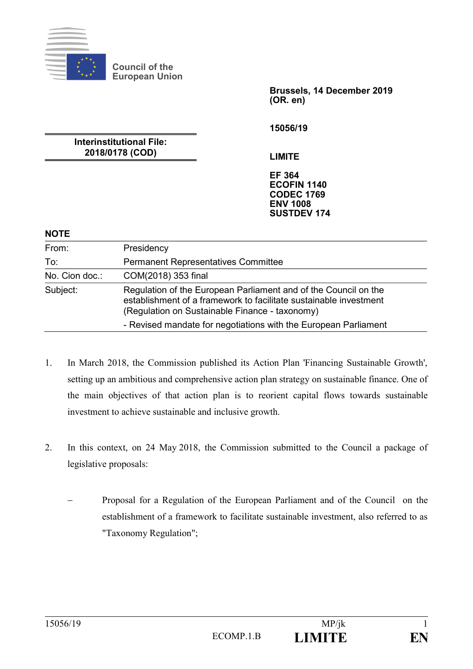

**Council of the European Union**

**Brussels, 14 December 2019 (OR. en)**

**15056/19**

**Interinstitutional File: 2018/0178 (COD)**

**LIMITE**

**EF 364 ECOFIN 1140 CODEC 1769 ENV 1008 SUSTDEV 174**

#### **NOTE**

| From:          | Presidency                                                                                                                                                                             |
|----------------|----------------------------------------------------------------------------------------------------------------------------------------------------------------------------------------|
| To:            | <b>Permanent Representatives Committee</b>                                                                                                                                             |
| No. Cion doc.: | COM(2018) 353 final                                                                                                                                                                    |
| Subject:       | Regulation of the European Parliament and of the Council on the<br>establishment of a framework to facilitate sustainable investment<br>(Regulation on Sustainable Finance - taxonomy) |
|                | - Revised mandate for negotiations with the European Parliament                                                                                                                        |

- 1. In March 2018, the Commission published its Action Plan 'Financing Sustainable Growth', setting up an ambitious and comprehensive action plan strategy on sustainable finance. One of the main objectives of that action plan is to reorient capital flows towards sustainable investment to achieve sustainable and inclusive growth.
- 2. In this context, on 24 May 2018, the Commission submitted to the Council a package of legislative proposals:
	- ‒ Proposal for a Regulation of the European Parliament and of the Council on the establishment of a framework to facilitate sustainable investment, also referred to as "Taxonomy Regulation";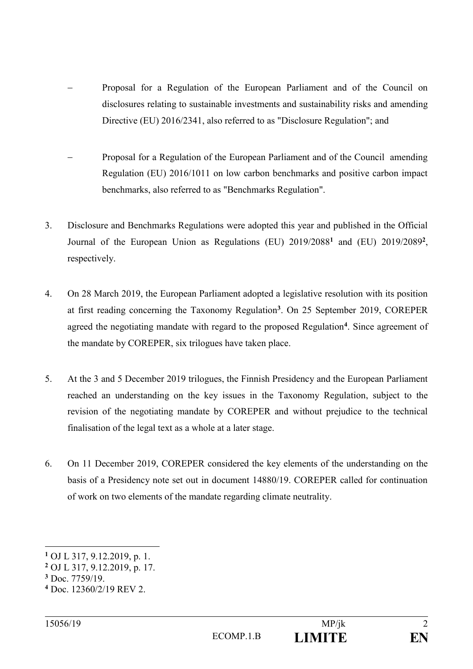- ‒ Proposal for a Regulation of the European Parliament and of the Council on disclosures relating to sustainable investments and sustainability risks and amending Directive (EU) 2016/2341, also referred to as "Disclosure Regulation"; and
- ‒ Proposal for a Regulation of the European Parliament and of the Council amending Regulation (EU) 2016/1011 on low carbon benchmarks and positive carbon impact benchmarks, also referred to as "Benchmarks Regulation".
- 3. Disclosure and Benchmarks Regulations were adopted this year and published in the Official Journal of the European Union as Regulations (EU) 2019/2088**<sup>1</sup>** and (EU) 2019/2089**<sup>2</sup>** , respectively.
- 4. On 28 March 2019, the European Parliament adopted a legislative resolution with its position at first reading concerning the Taxonomy Regulation**<sup>3</sup>** . On 25 September 2019, COREPER agreed the negotiating mandate with regard to the proposed Regulation**<sup>4</sup>** . Since agreement of the mandate by COREPER, six trilogues have taken place.
- 5. At the 3 and 5 December 2019 trilogues, the Finnish Presidency and the European Parliament reached an understanding on the key issues in the Taxonomy Regulation, subject to the revision of the negotiating mandate by COREPER and without prejudice to the technical finalisation of the legal text as a whole at a later stage.
- 6. On 11 December 2019, COREPER considered the key elements of the understanding on the basis of a Presidency note set out in document 14880/19. COREPER called for continuation of work on two elements of the mandate regarding climate neutrality.

1

**<sup>1</sup>** OJ L 317, 9.12.2019, p. 1.

**<sup>2</sup>** OJ L 317, 9.12.2019, p. 17.

**<sup>3</sup>** Doc. 7759/19.

**<sup>4</sup>** Doc. 12360/2/19 REV 2.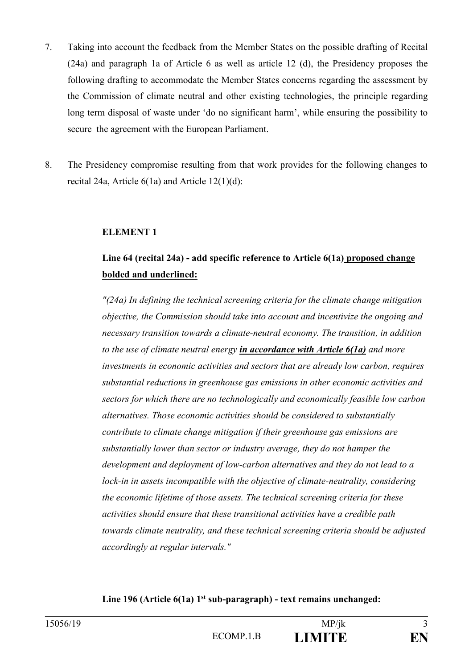- 7. Taking into account the feedback from the Member States on the possible drafting of Recital (24a) and paragraph 1a of Article 6 as well as article 12 (d), the Presidency proposes the following drafting to accommodate the Member States concerns regarding the assessment by the Commission of climate neutral and other existing technologies, the principle regarding long term disposal of waste under 'do no significant harm', while ensuring the possibility to secure the agreement with the European Parliament.
- 8. The Presidency compromise resulting from that work provides for the following changes to recital 24a, Article 6(1a) and Article 12(1)(d):

#### **ELEMENT 1**

## **Line 64 (recital 24a) - add specific reference to Article 6(1a) proposed change bolded and underlined:**

*"(24a) In defining the technical screening criteria for the climate change mitigation objective, the Commission should take into account and incentivize the ongoing and necessary transition towards a climate-neutral economy. The transition, in addition to the use of climate neutral energy in accordance with Article 6(1a) and more investments in economic activities and sectors that are already low carbon, requires substantial reductions in greenhouse gas emissions in other economic activities and sectors for which there are no technologically and economically feasible low carbon alternatives. Those economic activities should be considered to substantially contribute to climate change mitigation if their greenhouse gas emissions are substantially lower than sector or industry average, they do not hamper the development and deployment of low-carbon alternatives and they do not lead to a lock-in in assets incompatible with the objective of climate-neutrality, considering the economic lifetime of those assets. The technical screening criteria for these activities should ensure that these transitional activities have a credible path towards climate neutrality, and these technical screening criteria should be adjusted accordingly at regular intervals."*

### **Line 196 (Article 6(1a) 1 st sub-paragraph) - text remains unchanged:**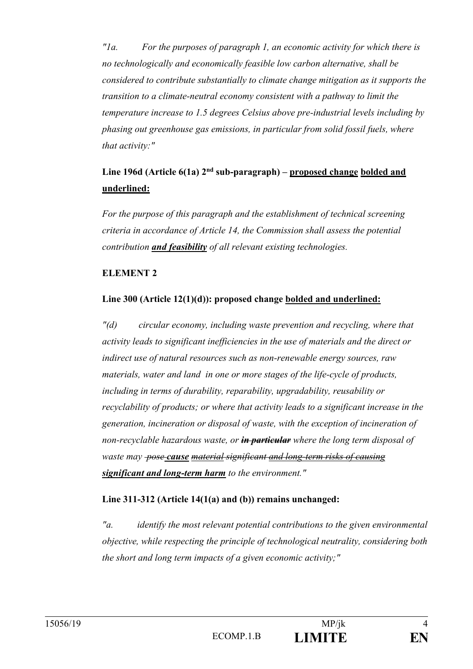*"1a. For the purposes of paragraph 1, an economic activity for which there is no technologically and economically feasible low carbon alternative, shall be considered to contribute substantially to climate change mitigation as it supports the transition to a climate-neutral economy consistent with a pathway to limit the temperature increase to 1.5 degrees Celsius above pre-industrial levels including by phasing out greenhouse gas emissions, in particular from solid fossil fuels, where that activity:"*

# Line 196d (Article 6(1a) 2<sup>nd</sup> sub-paragraph) – proposed change bolded and **underlined:**

*For the purpose of this paragraph and the establishment of technical screening criteria in accordance of Article 14, the Commission shall assess the potential contribution and feasibility of all relevant existing technologies.*

### **ELEMENT 2**

## **Line 300 (Article 12(1)(d)): proposed change bolded and underlined:**

*"(d) circular economy, including waste prevention and recycling, where that activity leads to significant inefficiencies in the use of materials and the direct or indirect use of natural resources such as non-renewable energy sources, raw materials, water and land in one or more stages of the life-cycle of products, including in terms of durability, reparability, upgradability, reusability or recyclability of products; or where that activity leads to a significant increase in the generation, incineration or disposal of waste, with the exception of incineration of non-recyclable hazardous waste, or in particular where the long term disposal of waste may pose cause material significant and long-term risks of causing significant and long-term harm to the environment."*

## **Line 311-312 (Article 14(1(a) and (b)) remains unchanged:**

*"a. identify the most relevant potential contributions to the given environmental objective, while respecting the principle of technological neutrality, considering both the short and long term impacts of a given economic activity;"*